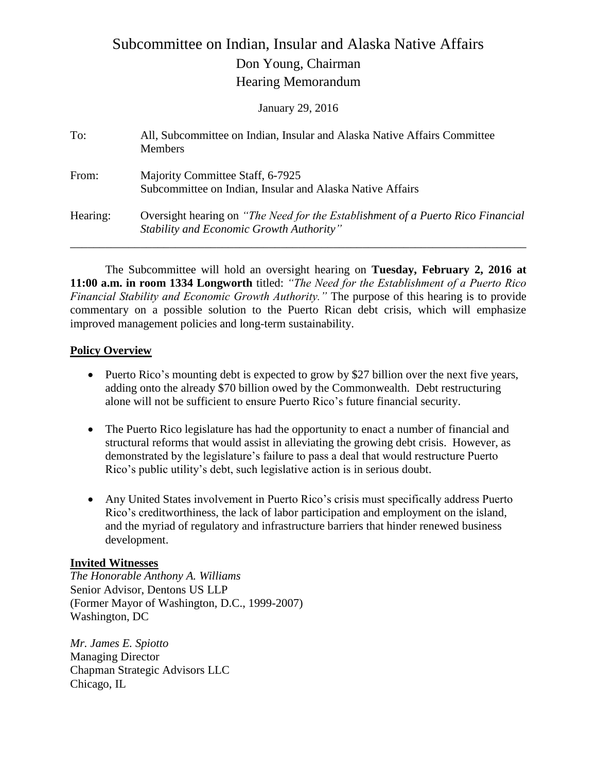# Subcommittee on Indian, Insular and Alaska Native Affairs Don Young, Chairman Hearing Memorandum

January 29, 2016

| To:      | All, Subcommittee on Indian, Insular and Alaska Native Affairs Committee<br><b>Members</b>                                  |
|----------|-----------------------------------------------------------------------------------------------------------------------------|
| From:    | Majority Committee Staff, 6-7925<br>Subcommittee on Indian, Insular and Alaska Native Affairs                               |
| Hearing: | Oversight hearing on "The Need for the Establishment of a Puerto Rico Financial<br>Stability and Economic Growth Authority" |

The Subcommittee will hold an oversight hearing on **Tuesday, February 2, 2016 at 11:00 a.m. in room 1334 Longworth** titled: *"The Need for the Establishment of a Puerto Rico Financial Stability and Economic Growth Authority."* The purpose of this hearing is to provide commentary on a possible solution to the Puerto Rican debt crisis, which will emphasize improved management policies and long-term sustainability.

## **Policy Overview**

- Puerto Rico's mounting debt is expected to grow by \$27 billion over the next five years, adding onto the already \$70 billion owed by the Commonwealth. Debt restructuring alone will not be sufficient to ensure Puerto Rico's future financial security.
- The Puerto Rico legislature has had the opportunity to enact a number of financial and structural reforms that would assist in alleviating the growing debt crisis. However, as demonstrated by the legislature's failure to pass a deal that would restructure Puerto Rico's public utility's debt, such legislative action is in serious doubt.
- Any United States involvement in Puerto Rico's crisis must specifically address Puerto Rico's creditworthiness, the lack of labor participation and employment on the island, and the myriad of regulatory and infrastructure barriers that hinder renewed business development.

## **Invited Witnesses**

*The Honorable Anthony A. Williams*  Senior Advisor, Dentons US LLP (Former Mayor of Washington, D.C., 1999-2007) Washington, DC

*Mr. James E. Spiotto* Managing Director Chapman Strategic Advisors LLC Chicago, IL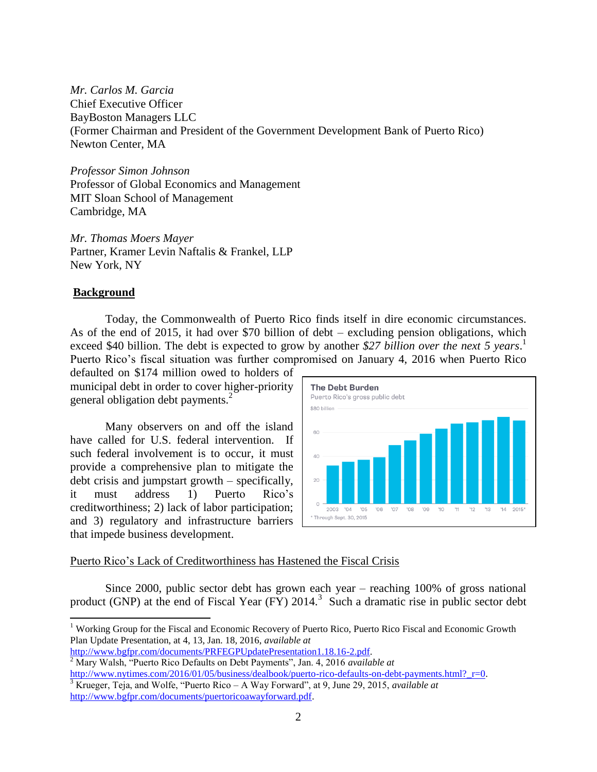*Mr. Carlos M. Garcia*  Chief Executive Officer BayBoston Managers LLC (Former Chairman and President of the Government Development Bank of Puerto Rico) Newton Center, MA

*Professor Simon Johnson* Professor of Global Economics and Management MIT Sloan School of Management Cambridge, MA

*Mr. Thomas Moers Mayer*  Partner, Kramer Levin Naftalis & Frankel, LLP New York, NY

## **Background**

 $\overline{\phantom{a}}$ 

Today, the Commonwealth of Puerto Rico finds itself in dire economic circumstances. As of the end of 2015, it had over \$70 billion of debt – excluding pension obligations, which exceed \$40 billion. The debt is expected to grow by another *\$27 billion over the next 5 years*. 1 Puerto Rico's fiscal situation was further compromised on January 4, 2016 when Puerto Rico

defaulted on \$174 million owed to holders of municipal debt in order to cover higher-priority general obligation debt payments.<sup>2</sup>

Many observers on and off the island have called for U.S. federal intervention. If such federal involvement is to occur, it must provide a comprehensive plan to mitigate the debt crisis and jumpstart growth – specifically, it must address 1) Puerto Rico's creditworthiness; 2) lack of labor participation; and 3) regulatory and infrastructure barriers that impede business development.



### Puerto Rico's Lack of Creditworthiness has Hastened the Fiscal Crisis

Since 2000, public sector debt has grown each year – reaching 100% of gross national product (GNP) at the end of Fiscal Year (FY)  $2014$ <sup>3</sup>. Such a dramatic rise in public sector debt

<sup>&</sup>lt;sup>1</sup> Working Group for the Fiscal and Economic Recovery of Puerto Rico, Puerto Rico Fiscal and Economic Growth Plan Update Presentation, at 4, 13, Jan. 18, 2016, *available at*

[http://www.bgfpr.com/documents/PRFEGPUpdatePresentation1.18.16-2.pdf.](http://www.bgfpr.com/documents/PRFEGPUpdatePresentation1.18.16-2.pdf)

<sup>2</sup> Mary Walsh, "Puerto Rico Defaults on Debt Payments", Jan. 4, 2016 *available at* http://www.nytimes.com/2016/01/05/business/dealbook/puerto-rico-defaults-on-debt-payments.html? r=0.

<sup>3</sup> Krueger, Teja, and Wolfe, "Puerto Rico – A Way Forward", at 9, June 29, 2015, *available at* [http://www.bgfpr.com/documents/puertoricoawayforward.pdf.](http://www.bgfpr.com/documents/puertoricoawayforward.pdf)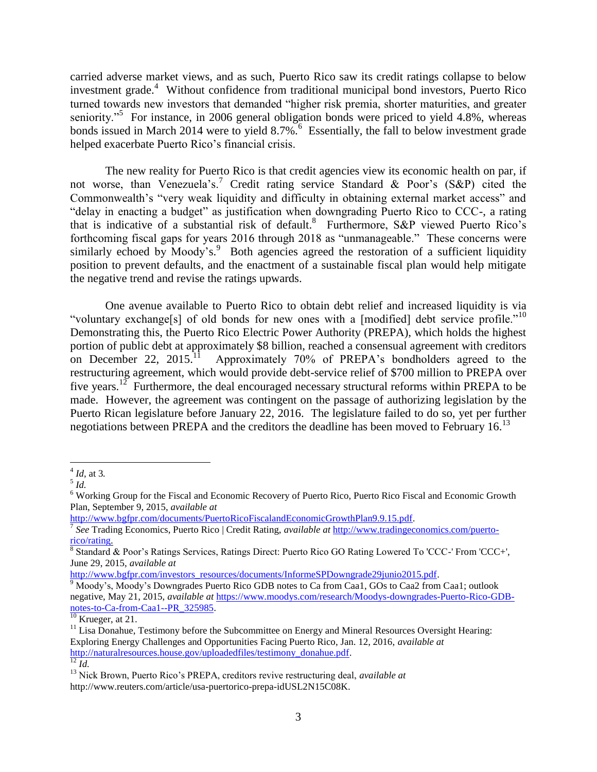carried adverse market views, and as such, Puerto Rico saw its credit ratings collapse to below investment grade.<sup>4</sup> Without confidence from traditional municipal bond investors, Puerto Rico turned towards new investors that demanded "higher risk premia, shorter maturities, and greater seniority."<sup>5</sup> For instance, in 2006 general obligation bonds were priced to yield 4.8%, whereas bonds issued in March 2014 were to yield 8.7%.<sup>6</sup> Essentially, the fall to below investment grade helped exacerbate Puerto Rico's financial crisis.

The new reality for Puerto Rico is that credit agencies view its economic health on par, if not worse, than Venezuela's.<sup>7</sup> Credit rating service Standard & Poor's (S&P) cited the Commonwealth's "very weak liquidity and difficulty in obtaining external market access" and "delay in enacting a budget" as justification when downgrading Puerto Rico to CCC-, a rating that is indicative of a substantial risk of default.<sup>8</sup> Furthermore, S&P viewed Puerto Rico's forthcoming fiscal gaps for years 2016 through 2018 as "unmanageable." These concerns were similarly echoed by Moody's.<sup>9</sup> Both agencies agreed the restoration of a sufficient liquidity position to prevent defaults, and the enactment of a sustainable fiscal plan would help mitigate the negative trend and revise the ratings upwards.

One avenue available to Puerto Rico to obtain debt relief and increased liquidity is via "voluntary exchange[s] of old bonds for new ones with a [modified] debt service profile."<sup>10</sup> Demonstrating this, the Puerto Rico Electric Power Authority (PREPA), which holds the highest portion of public debt at approximately \$8 billion, reached a consensual agreement with creditors on December 22,  $2015$ .<sup>11</sup> Approximately 70% of PREPA's bondholders agreed to the restructuring agreement, which would provide debt-service relief of \$700 million to PREPA over five years.<sup>12</sup> Furthermore, the deal encouraged necessary structural reforms within PREPA to be made. However, the agreement was contingent on the passage of authorizing legislation by the Puerto Rican legislature before January 22, 2016. The legislature failed to do so, yet per further negotiations between PREPA and the creditors the deadline has been moved to February 16.<sup>13</sup>

[http://www.bgfpr.com/documents/PuertoRicoFiscalandEconomicGrowthPlan9.9.15.pdf.](http://www.bgfpr.com/documents/PuertoRicoFiscalandEconomicGrowthPlan9.9.15.pdf) 

[http://www.bgfpr.com/investors\\_resources/documents/InformeSPDowngrade29junio2015.pdf.](http://www.bgfpr.com/investors_resources/documents/InformeSPDowngrade29junio2015.pdf)

 $4 \overline{Id}$ , at 3.

<sup>5</sup> *Id.*

<sup>6</sup> Working Group for the Fiscal and Economic Recovery of Puerto Rico, Puerto Rico Fiscal and Economic Growth Plan, September 9, 2015, *available at*

<sup>7</sup> *See* Trading Economics, Puerto Rico | Credit Rating, *available at* [http://www.tradingeconomics.com/puerto](http://www.tradingeconomics.com/puerto-rico/rating)[rico/rating.](http://www.tradingeconomics.com/puerto-rico/rating)<br><sup>8</sup> Standard & Poor's Ratings Services, Ratings Direct: Puerto Rico GO Rating Lowered To 'CCC-' From 'CCC+',

June 29, 2015, *available at*

 $9 \text{ Mody's}$ , Moody's Downgrades Puerto Rico GDB notes to Ca from Caa1, GOs to Caa2 from Caa1; outlook negative, May 21, 2015, *available at* [https://www.moodys.com/research/Moodys-downgrades-Puerto-Rico-GDB](https://www.moodys.com/research/Moodys-downgrades-Puerto-Rico-GDB-notes-to-Ca-from-Caa1--PR_325985)[notes-to-Ca-from-Caa1--PR\\_325985.](https://www.moodys.com/research/Moodys-downgrades-Puerto-Rico-GDB-notes-to-Ca-from-Caa1--PR_325985)

 $10$  Krueger, at 21.

<sup>&</sup>lt;sup>11</sup> Lisa Donahue, Testimony before the Subcommittee on Energy and Mineral Resources Oversight Hearing: Exploring Energy Challenges and Opportunities Facing Puerto Rico, Jan. 12, 2016, *available at* [http://naturalresources.house.gov/uploadedfiles/testimony\\_donahue.pdf.](http://naturalresources.house.gov/uploadedfiles/testimony_donahue.pdf)   $\overline{12}$   $\overline{1d}$ .

<sup>13</sup> Nick Brown, Puerto Rico's PREPA, creditors revive restructuring deal, *available at*  http://www.reuters.com/article/usa-puertorico-prepa-idUSL2N15C08K.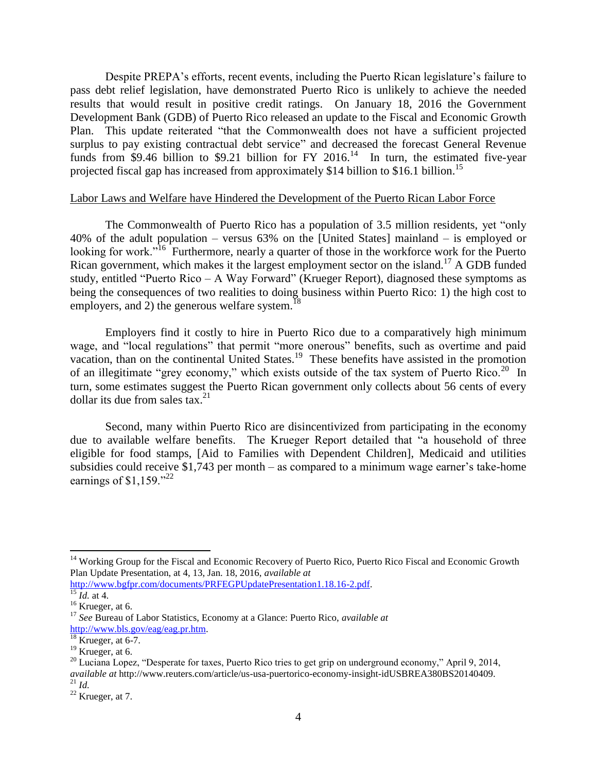Despite PREPA's efforts, recent events, including the Puerto Rican legislature's failure to pass debt relief legislation, have demonstrated Puerto Rico is unlikely to achieve the needed results that would result in positive credit ratings. On January 18, 2016 the Government Development Bank (GDB) of Puerto Rico released an update to the Fiscal and Economic Growth Plan. This update reiterated "that the Commonwealth does not have a sufficient projected surplus to pay existing contractual debt service" and decreased the forecast General Revenue funds from \$9.46 billion to \$9.21 billion for FY 2016.<sup>14</sup> In turn, the estimated five-year projected fiscal gap has increased from approximately \$14 billion to \$16.1 billion.<sup>15</sup>

#### Labor Laws and Welfare have Hindered the Development of the Puerto Rican Labor Force

The Commonwealth of Puerto Rico has a population of 3.5 million residents, yet "only 40% of the adult population – versus 63% on the [United States] mainland – is employed or looking for work."<sup>16</sup> Furthermore, nearly a quarter of those in the workforce work for the Puerto Rican government, which makes it the largest employment sector on the island.<sup>17</sup> A GDB funded study, entitled "Puerto Rico – A Way Forward" (Krueger Report), diagnosed these symptoms as being the consequences of two realities to doing business within Puerto Rico: 1) the high cost to employers, and 2) the generous welfare system.<sup>18</sup>

Employers find it costly to hire in Puerto Rico due to a comparatively high minimum wage, and "local regulations" that permit "more onerous" benefits, such as overtime and paid vacation, than on the continental United States.<sup>19</sup> These benefits have assisted in the promotion of an illegitimate "grey economy," which exists outside of the tax system of Puerto Rico.<sup>20</sup> In turn, some estimates suggest the Puerto Rican government only collects about 56 cents of every dollar its due from sales tax.<sup>21</sup>

Second, many within Puerto Rico are disincentivized from participating in the economy due to available welfare benefits. The Krueger Report detailed that "a household of three eligible for food stamps, [Aid to Families with Dependent Children], Medicaid and utilities subsidies could receive \$1,743 per month – as compared to a minimum wage earner's take-home earnings of \$1,159." $^{22}$ 

 $\overline{\phantom{a}}$ 

<sup>&</sup>lt;sup>14</sup> Working Group for the Fiscal and Economic Recovery of Puerto Rico, Puerto Rico Fiscal and Economic Growth Plan Update Presentation, at 4, 13, Jan. 18, 2016, *available at*

[http://www.bgfpr.com/documents/PRFEGPUpdatePresentation1.18.16-2.pdf.](http://www.bgfpr.com/documents/PRFEGPUpdatePresentation1.18.16-2.pdf)

 $\frac{15}{16}$ *Id.* at 4.

 $16$  Krueger, at 6.

<sup>17</sup> *See* Bureau of Labor Statistics, Economy at a Glance: Puerto Rico, *available at* [http://www.bls.gov/eag/eag.pr.htm.](http://www.bls.gov/eag/eag.pr.htm)

 $18$  Krueger, at 6-7.

<sup>&</sup>lt;sup>19</sup> Krueger, at 6.<br><sup>20</sup> Luciana Lopez, "Desperate for taxes, Puerto Rico tries to get grip on underground economy," April 9, 2014,  $^{20}$  Luciana Lopez, "Desperate for taxes, Puerto Rico tries to get grip on underground economy," April 9, 2014, *available at* http://www.reuters.com/article/us-usa-puertorico-economy-insight-idUSBREA380BS20140409.

<sup>21</sup> *Id.*

 $22$  Krueger, at 7.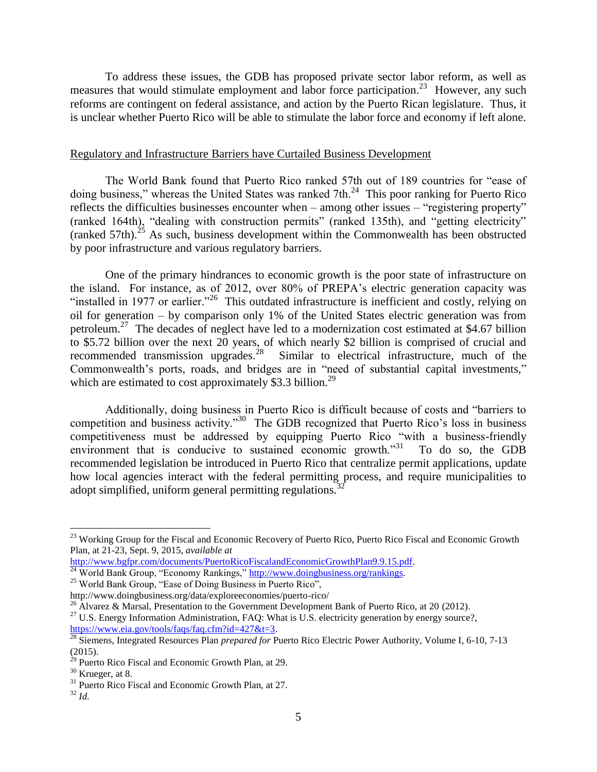To address these issues, the GDB has proposed private sector labor reform, as well as measures that would stimulate employment and labor force participation.<sup>23</sup> However, any such reforms are contingent on federal assistance, and action by the Puerto Rican legislature. Thus, it is unclear whether Puerto Rico will be able to stimulate the labor force and economy if left alone.

#### Regulatory and Infrastructure Barriers have Curtailed Business Development

The World Bank found that Puerto Rico ranked 57th out of 189 countries for "ease of doing business," whereas the United States was ranked 7th. $^{24}$  This poor ranking for Puerto Rico reflects the difficulties businesses encounter when – among other issues – "registering property" (ranked 164th), "dealing with construction permits" (ranked 135th), and "getting electricity" (ranked 57th).<sup>25</sup> As such, business development within the Commonwealth has been obstructed by poor infrastructure and various regulatory barriers.

One of the primary hindrances to economic growth is the poor state of infrastructure on the island. For instance, as of 2012, over 80% of PREPA's electric generation capacity was "installed in 1977 or earlier."<sup>26</sup> This outdated infrastructure is inefficient and costly, relying on oil for generation – by comparison only 1% of the United States electric generation was from petroleum.<sup>27</sup> The decades of neglect have led to a modernization cost estimated at \$4.67 billion to \$5.72 billion over the next 20 years, of which nearly \$2 billion is comprised of crucial and recommended transmission upgrades.<sup>28</sup> Similar to electrical infrastructure, much of the Commonwealth's ports, roads, and bridges are in "need of substantial capital investments," which are estimated to cost approximately \$3.3 billion.<sup>29</sup>

Additionally, doing business in Puerto Rico is difficult because of costs and "barriers to competition and business activity."<sup>30</sup> The GDB recognized that Puerto Rico's loss in business competitiveness must be addressed by equipping Puerto Rico "with a business-friendly environment that is conducive to sustained economic growth."<sup>31</sup> To do so, the GDB recommended legislation be introduced in Puerto Rico that centralize permit applications, update how local agencies interact with the federal permitting process, and require municipalities to adopt simplified, uniform general permitting regulations.<sup>3</sup>

l

<sup>&</sup>lt;sup>23</sup> Working Group for the Fiscal and Economic Recovery of Puerto Rico, Puerto Rico Fiscal and Economic Growth Plan, at 21-23, Sept. 9, 2015, *available at*

[http://www.bgfpr.com/documents/PuertoRicoFiscalandEconomicGrowthPlan9.9.15.pdf.](http://www.bgfpr.com/documents/PuertoRicoFiscalandEconomicGrowthPlan9.9.15.pdf) <sup>24</sup> World Bank Group, "Economy Rankings," http://www.doingbusiness.org/rankings.

<sup>25</sup> World Bank Group, "Ease of Doing Business in Puerto Rico",

http://www.doingbusiness.org/data/exploreeconomies/puerto-rico/

<sup>&</sup>lt;sup>26</sup> Alvarez & Marsal, Presentation to the Government Development Bank of Puerto Rico, at 20 (2012).

<sup>&</sup>lt;sup>27</sup> U.S. Energy Information Administration, FAQ: What is U.S. electricity generation by energy source?, https://www.eia.gov/tools/faqs/faq.cfm?id=427&t=3.

<sup>28</sup> Siemens, Integrated Resources Plan *prepared for* Puerto Rico Electric Power Authority, Volume I, 6-10, 7-13 (2015).

<sup>&</sup>lt;sup>29</sup> Puerto Rico Fiscal and Economic Growth Plan, at 29.

 $30$  Krueger, at 8.

<sup>&</sup>lt;sup>31</sup> Puerto Rico Fiscal and Economic Growth Plan, at 27.

 $32$  *Id.*